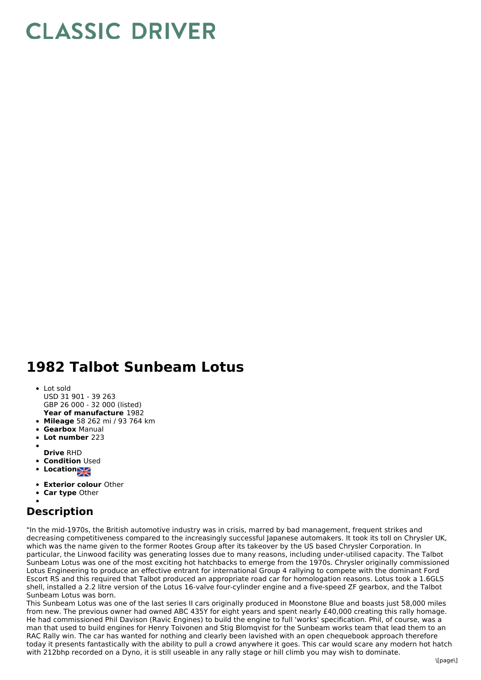## **CLASSIC DRIVER**

## **1982 Talbot Sunbeam Lotus**

- **Year of manufacture** 1982 • Lot sold USD 31 901 - 39 263 GBP 26 000 - 32 000 (listed)
- **Mileage** 58 262 mi / 93 764 km
- **Gearbox** Manual
- **Lot number** 223
- 
- **Drive** RHD
- **Condition Used**
- **Locations**
- **Exterior colour** Other
- **Car type** Other

## **Description**

"In the mid-1970s, the British automotive industry was in crisis, marred by bad management, frequent strikes and decreasing competitiveness compared to the increasingly successful Japanese automakers. It took its toll on Chrysler UK, which was the name given to the former Rootes Group after its takeover by the US based Chrysler Corporation. In particular, the Linwood facility was generating losses due to many reasons, including under-utilised capacity. The Talbot Sunbeam Lotus was one of the most exciting hot hatchbacks to emerge from the 1970s. Chrysler originally commissioned Lotus Engineering to produce an effective entrant for international Group 4 rallying to compete with the dominant Ford Escort RS and this required that Talbot produced an appropriate road car for homologation reasons. Lotus took a 1.6GLS shell, installed a 2.2 litre version of the Lotus 16-valve four-cylinder engine and a five-speed ZF gearbox, and the Talbot Sunbeam Lotus was born.

This Sunbeam Lotus was one of the last series II cars originally produced in Moonstone Blue and boasts just 58,000 miles from new. The previous owner had owned ABC 435Y for eight years and spent nearly £40,000 creating this rally homage. He had commissioned Phil Davison (Ravic Engines) to build the engine to full 'works' specification. Phil, of course, was a man that used to build engines for Henry Toivonen and Stig Blomqvist for the Sunbeam works team that lead them to an RAC Rally win. The car has wanted for nothing and clearly been lavished with an open chequebook approach therefore today it presents fantastically with the ability to pull a crowd anywhere it goes. This car would scare any modern hot hatch with 212bhp recorded on a Dyno, it is still useable in any rally stage or hill climb you may wish to dominate.